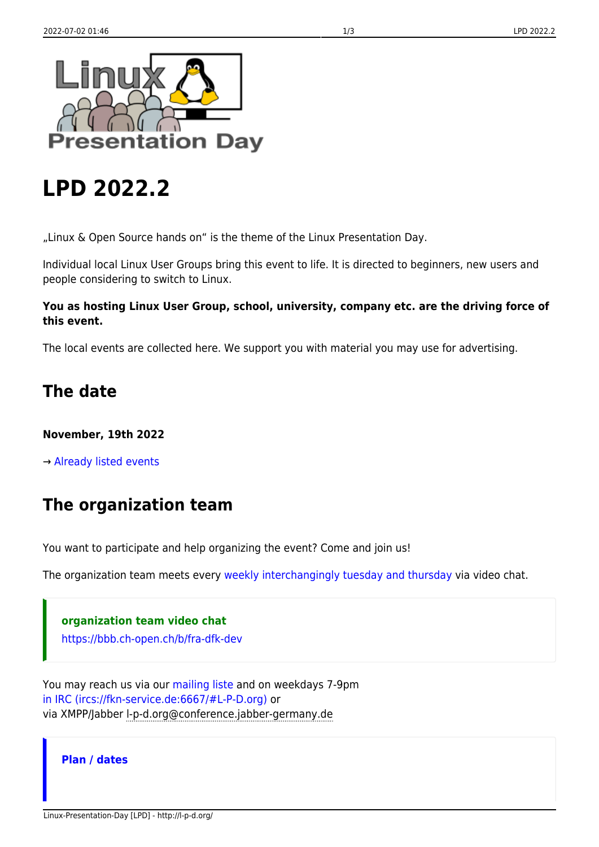

# **LPD 2022.2**

"Linux & Open Source hands on" is the theme of the Linux Presentation Day.

Individual local Linux User Groups bring this event to life. It is directed to beginners, new users and people considering to switch to Linux.

#### **You as hosting Linux User Group, school, university, company etc. are the driving force of this event.**

The local events are collected here. We support you with material you may use for advertising.

# **The date**

### **November, 19th 2022**

→ [Already listed events](http://l-p-d.org/en/lpd_dates)

# **The organization team**

You want to participate and help organizing the event? Come and join us!

The organization team meets every [weekly interchangingly tuesday and thursday](http://l-p-d.org/en/lpd_dates) via video chat.

**organization team video chat**

<https://bbb.ch-open.ch/b/fra-dfk-dev>

You may reach us via our [mailing liste](http://l-p-d.org/de/communication) and on weekdays 7-9pm [in IRC \(ircs://fkn-service.de:6667/#L-P-D.org\)](https://fkn-service.de/kiwi/#L-P-D.org) or via XMPP/Jabber l-p-d.org@conference.jabber-germany.de

### **Plan / dates**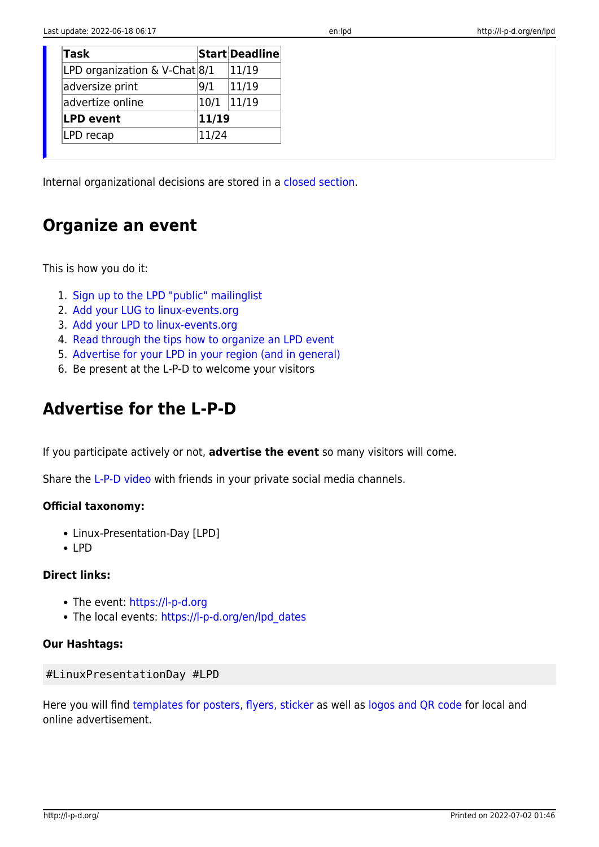| Task                              |       | Start Deadline |
|-----------------------------------|-------|----------------|
| LPD organization & V-Chat $ 8/1 $ |       | 11/19          |
| adversize print                   | 9/1   | 11/19          |
| advertize online                  | 10/1  | 11/19          |
| <b>LPD event</b>                  | 11/19 |                |
| LPD recap                         | 11/24 |                |

Internal organizational decisions are stored in a [closed section.](http://l-p-d.org/closed)

### **Organize an event**

This is how you do it:

- 1. [Sign up to the LPD "public" mailinglist](http://l-p-d.org/en/communication)
- 2. [Add your LUG to linux-events.org](https://linux-events.org/SL_LUGS)
- 3. [Add your LPD to linux-events.org](https://linux-events.org/)
- 4. [Read through the tips how to organize an LPD event](http://l-p-d.org/de/faq/howto_make_an_lpd)
- 5. [Advertise for your LPD in your region \(and in general\)](http://l-p-d.org/en/resources)
- 6. Be present at the L-P-D to welcome your visitors

## **Advertise for the L-P-D**

If you participate actively or not, **advertise the event** so many visitors will come.

Share the [L-P-D video](http://l-p-d.org/en/public/socialshare) with friends in your private social media channels.

#### **Official taxonomy:**

- Linux-Presentation-Day [LPD]
- $\cdot$  IPD

#### **Direct links:**

- The event: <https://l-p-d.org>
- The local events: [https://l-p-d.org/en/lpd\\_dates](https://l-p-d.org/en/lpd_dates)

#### **Our Hashtags:**

#### #LinuxPresentationDay #LPD

Here you will find [templates for posters, flyers, sticker](http://l-p-d.org/en/resources) as well as [logos and QR code](http://l-p-d.org/en/resources) for local and online advertisement.